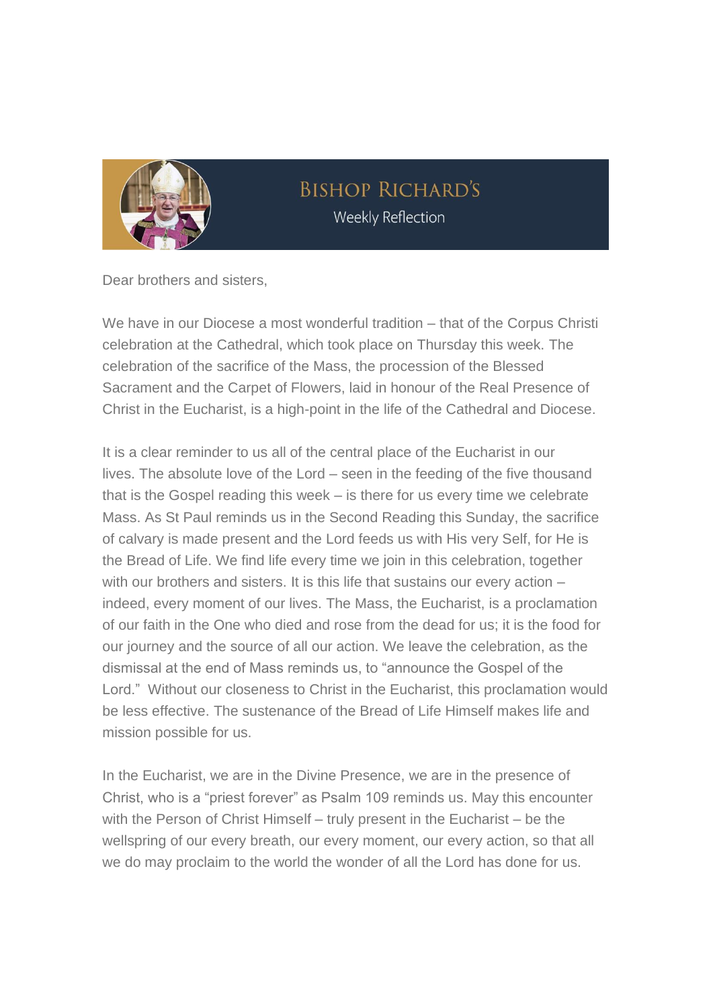

## **BISHOP RICHARD'S Weekly Reflection**

Dear brothers and sisters,

We have in our Diocese a most wonderful tradition – that of the Corpus Christi celebration at the Cathedral, which took place on Thursday this week. The celebration of the sacrifice of the Mass, the procession of the Blessed Sacrament and the Carpet of Flowers, laid in honour of the Real Presence of Christ in the Eucharist, is a high-point in the life of the Cathedral and Diocese.

It is a clear reminder to us all of the central place of the Eucharist in our lives. The absolute love of the Lord – seen in the feeding of the five thousand that is the Gospel reading this week – is there for us every time we celebrate Mass. As St Paul reminds us in the Second Reading this Sunday, the sacrifice of calvary is made present and the Lord feeds us with His very Self, for He is the Bread of Life. We find life every time we join in this celebration, together with our brothers and sisters. It is this life that sustains our every action indeed, every moment of our lives. The Mass, the Eucharist, is a proclamation of our faith in the One who died and rose from the dead for us; it is the food for our journey and the source of all our action. We leave the celebration, as the dismissal at the end of Mass reminds us, to "announce the Gospel of the Lord." Without our closeness to Christ in the Eucharist, this proclamation would be less effective. The sustenance of the Bread of Life Himself makes life and mission possible for us.

In the Eucharist, we are in the Divine Presence, we are in the presence of Christ, who is a "priest forever" as Psalm 109 reminds us. May this encounter with the Person of Christ Himself – truly present in the Eucharist – be the wellspring of our every breath, our every moment, our every action, so that all we do may proclaim to the world the wonder of all the Lord has done for us.